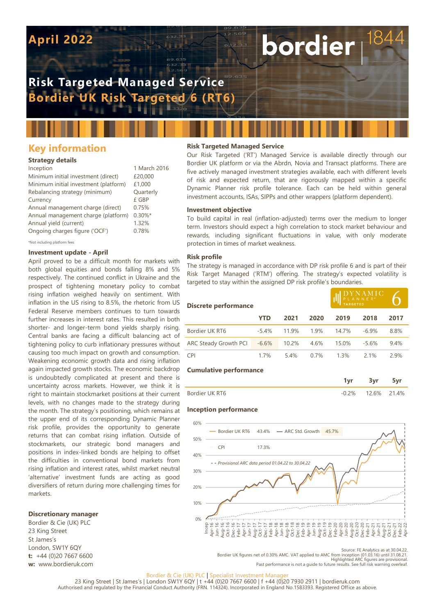# **April 2022**

# **Risk Targeted Managed Service Bordier UK Risk Targeted 6 (RT6)**

# **Key information**

## **Strategy details**

| Inception                             | 1 March 2016 |
|---------------------------------------|--------------|
| Minimum initial investment (direct)   | £20,000      |
| Minimum initial investment (platform) | £1,000       |
| Rebalancing strategy (minimum)        | Quarterly    |
| Currency                              | £ GBP        |
| Annual management charge (direct)     | 0.75%        |
| Annual management charge (platform)   | $0.30\%$ *   |
| Annual yield (current)                | 1.32%        |
| Ongoing charges figure ('OCF')        | 0.78%        |
|                                       |              |

\*Not including platform fees

### **Investment update - April**

April proved to be a difficult month for markets with both global equities and bonds falling 8% and 5% respectively. The continued conflict in Ukraine and the prospect of tightening monetary policy to combat rising inflation weighed heavily on sentiment. With inflation in the US rising to 8.5%, the rhetoric from US Federal Reserve members continues to turn towards further increases in interest rates. This resulted in both shorter- and longer-term bond yields sharply rising. Central banks are facing a difficult balancing act of tightening policy to curb inflationary pressures without causing too much impact on growth and consumption. Weakening economic growth data and rising inflation again impacted growth stocks. The economic backdrop is undoubtedly complicated at present and there is uncertainty across markets. However, we think it is right to maintain stockmarket positions at their current levels, with no changes made to the strategy during the month. The strategy's positioning, which remains at the upper end of its corresponding Dynamic Planner risk profile, provides the opportunity to generate returns that can combat rising inflation. Outside of stockmarkets, our strategic bond managers and positions in index-linked bonds are helping to offset the difficulties in conventional bond markets from rising inflation and interest rates, whilst market neutral 'alternative' investment funds are acting as good diversifiers of return during more challenging times for markets.

### **Discretionary manager**

Bordier & Cie (UK) PLC 23 King Street St James's London, SW1Y 6QY **t:** +44 (0)20 7667 6600 **w:** www.bordieruk.com

# **Risk Targeted Managed Service**

Our Risk Targeted ('RT') Managed Service is available directly through our Bordier UK platform or via the Abrdn, Novia and Transact platforms. There are five actively managed investment strategies available, each with different levels of risk and expected return, that are rigorously mapped within a specific Dynamic Planner risk profile tolerance. Each can be held within general investment accounts, ISAs, SIPPs and other wrappers (platform dependent).

bordier

#### **Investment objective**

To build capital in real (inflation-adjusted) terms over the medium to longer term. Investors should expect a high correlation to stock market behaviour and rewards, including significant fluctuations in value, with only moderate protection in times of market weakness.

#### **Risk profile**

The strategy is managed in accordance with DP risk profile 6 and is part of their Risk Target Managed ('RTM') offering. The strategy's expected volatility is targeted to stay within the assigned DP risk profile's boundaries.

| <b>Discrete performance</b>   |            |       | $\begin{array}{lllllllll} & D \, \Upsilon \, N \, \overline{\Lambda} \, M \, \overline{\rm I} \, \overline{\rm C} \, \\ \mid ^{\mathsf{P} \, \mathsf{L} \, \, A \, \, N \, \, N \, \, \mathsf{E} \, \, \mathsf{R}^{\, \circ}} \end{array}$ |       |         |      |  |
|-------------------------------|------------|-------|--------------------------------------------------------------------------------------------------------------------------------------------------------------------------------------------------------------------------------------------|-------|---------|------|--|
|                               | <b>YTD</b> | 2021  | 2020                                                                                                                                                                                                                                       | 2019  | 2018    | 2017 |  |
| Bordier UK RT6                | $-5.4%$    | 119%  | 19%                                                                                                                                                                                                                                        | 147%  | $-6.9%$ | 8.8% |  |
| ARC Steady Growth PCI         | $-6.6%$    | 10.2% | 4.6%                                                                                                                                                                                                                                       | 15.0% | $-5.6%$ | 9.4% |  |
| <b>CPI</b>                    | 1.7%       | 54%   | 0.7%                                                                                                                                                                                                                                       | 1.3%  | 2.1%    | 2.9% |  |
| <b>Cumulative performance</b> |            |       |                                                                                                                                                                                                                                            |       |         |      |  |

| Bordier UK RT6 | 12 6% | .4% |
|----------------|-------|-----|

#### **Inception performance**



Source: FE Analytics as at 30.04.22.

Bordier UK figures net of 0.30% AMC. VAT applied to AMC from inception (01.03.16) until 31.08.21.<br>Highlighted ARC figures are provisional.<br>Past performance is not a quide to future results. See full risk warning overleaf

#### Bordier & Cie (UK) PLC | Specialist Investment Manage

23 King Street | St James's | London SW1Y 6QY | t +44 (0)20 7667 6600 | f +44 (0)20 7930 2911 | bordieruk.com<br>Authorised and regulated by the Financial Conduct Authority (FRN. 114324). Incorporated in England No.1583393. R